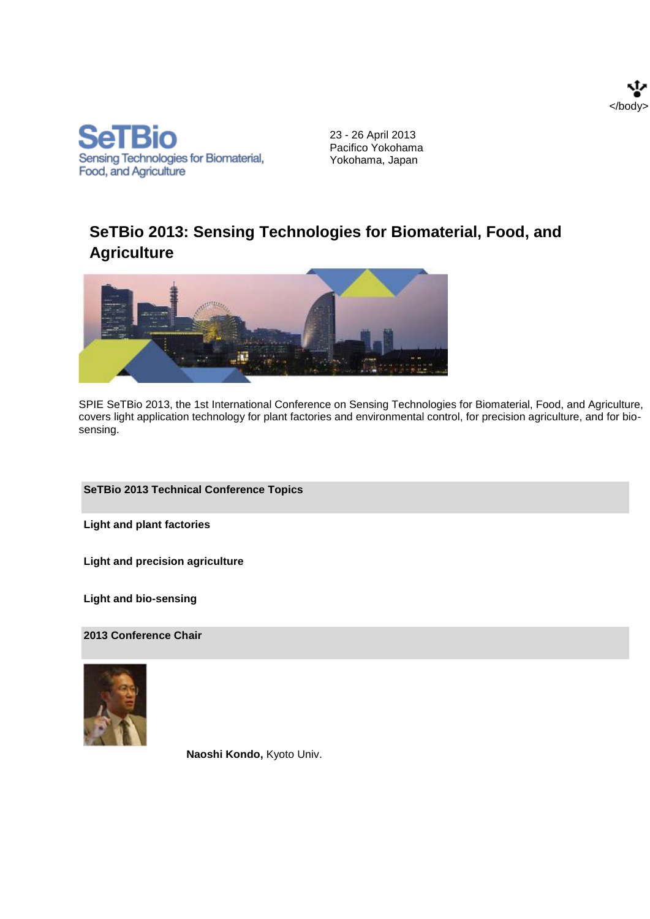



23 - 26 April 2013 Pacifico Yokohama Yokohama, Japan

# **SeTBio 2013: Sensing Technologies for Biomaterial, Food, and Agriculture**



SPIE SeTBio 2013, the 1st International Conference on Sensing Technologies for Biomaterial, Food, and Agriculture, covers light application technology for plant factories and environmental control, for precision agriculture, and for biosensing.

## **SeTBio 2013 Technical Conference Topics**

**Light and plant factories**

**Light and precision agriculture**

**Light and bio-sensing**

**2013 Conference Chair**



**Naoshi Kondo,** Kyoto Univ.